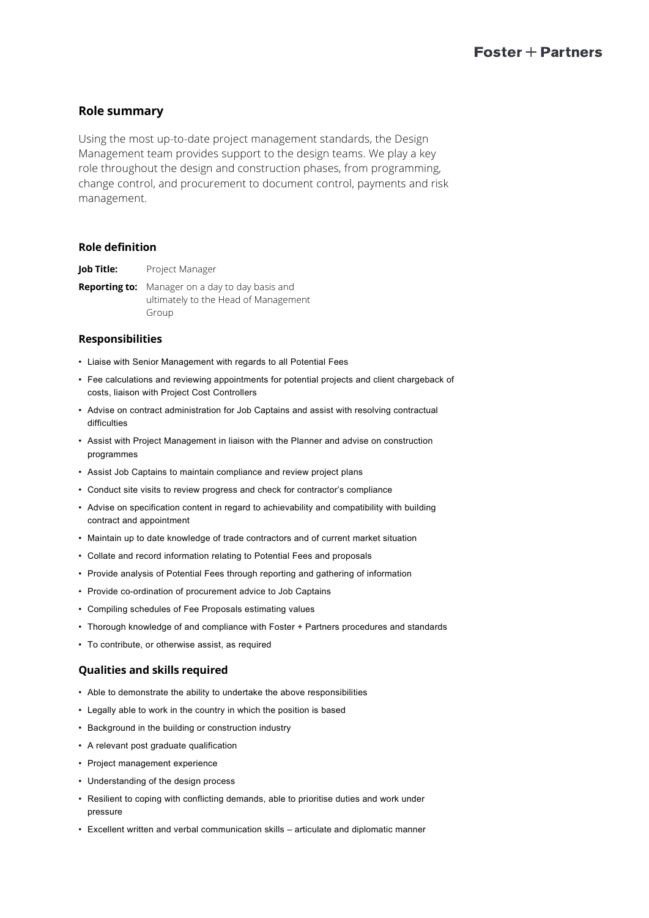# **Role summary**

Using the most up-to-date project management standards, the Design Management team provides support to the design teams. We play a key role throughout the design and construction phases, from programming, change control, and procurement to document control, payments and risk management.

## **Role definition**

**Job Title:** Project Manager

**Reporting to:** Manager on a day to day basis and ultimately to the Head of Management Group

## **Responsibilities**

- Liaise with Senior Management with regards to all Potential Fees
- Fee calculations and reviewing appointments for potential projects and client chargeback of costs, liaison with Project Cost Controllers
- Advise on contract administration for Job Captains and assist with resolving contractual difficulties
- Assist with Project Management in liaison with the Planner and advise on construction programmes
- Assist Job Captains to maintain compliance and review project plans
- Conduct site visits to review progress and check for contractor's compliance
- Advise on specification content in regard to achievability and compatibility with building contract and appointment
- Maintain up to date knowledge of trade contractors and of current market situation
- Collate and record information relating to Potential Fees and proposals
- Provide analysis of Potential Fees through reporting and gathering of information
- Provide co-ordination of procurement advice to Job Captains
- Compiling schedules of Fee Proposals estimating values
- Thorough knowledge of and compliance with Foster + Partners procedures and standards
- To contribute, or otherwise assist, as required

## **Qualities and skills required**

- Able to demonstrate the ability to undertake the above responsibilities
- Legally able to work in the country in which the position is based
- Background in the building or construction industry
- A relevant post graduate qualification
- Project management experience
- Understanding of the design process
- Resilient to coping with conflicting demands, able to prioritise duties and work under pressure
- Excellent written and verbal communication skills articulate and diplomatic manner